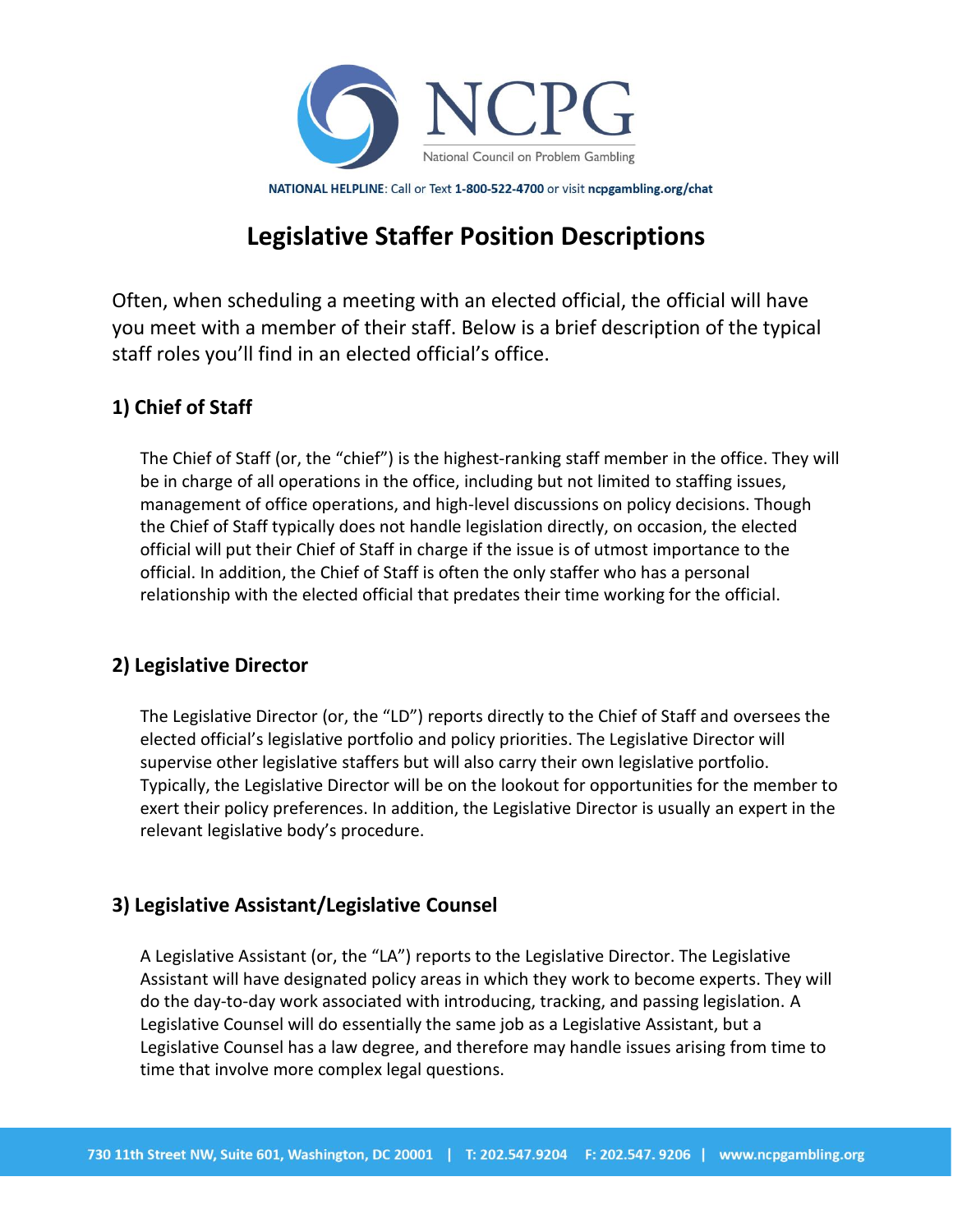

NATIONAL HELPLINE: Call or Text 1-800-522-4700 or visit ncpgambling.org/chat

# **Legislative Staffer Position Descriptions**

Often, when scheduling a meeting with an elected official, the official will have you meet with a member of their staff. Below is a brief description of the typical staff roles you'll find in an elected official's office.

## **1) Chief of Staff**

The Chief of Staff (or, the "chief") is the highest-ranking staff member in the office. They will be in charge of all operations in the office, including but not limited to staffing issues, management of office operations, and high-level discussions on policy decisions. Though the Chief of Staff typically does not handle legislation directly, on occasion, the elected official will put their Chief of Staff in charge if the issue is of utmost importance to the official. In addition, the Chief of Staff is often the only staffer who has a personal relationship with the elected official that predates their time working for the official.

## **2) Legislative Director**

The Legislative Director (or, the "LD") reports directly to the Chief of Staff and oversees the elected official's legislative portfolio and policy priorities. The Legislative Director will supervise other legislative staffers but will also carry their own legislative portfolio. Typically, the Legislative Director will be on the lookout for opportunities for the member to exert their policy preferences. In addition, the Legislative Director is usually an expert in the relevant legislative body's procedure.

## **3) Legislative Assistant/Legislative Counsel**

A Legislative Assistant (or, the "LA") reports to the Legislative Director. The Legislative Assistant will have designated policy areas in which they work to become experts. They will do the day-to-day work associated with introducing, tracking, and passing legislation. A Legislative Counsel will do essentially the same job as a Legislative Assistant, but a Legislative Counsel has a law degree, and therefore may handle issues arising from time to time that involve more complex legal questions.